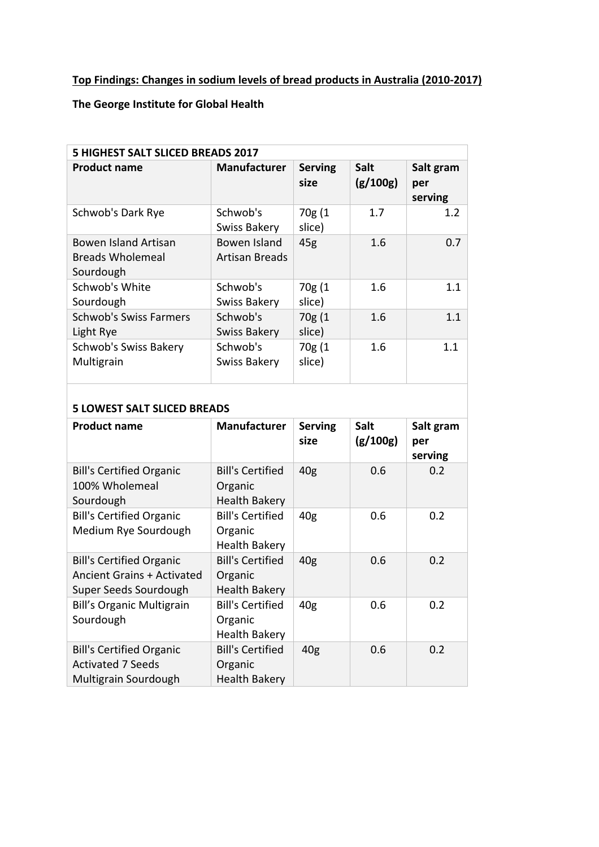## **Top Findings: Changes in sodium levels of bread products in Australia (2010-2017)**

## **The George Institute for Global Health**

| 5 HIGHEST SALT SLICED BREADS 2017                     |                                |                        |                         |                             |  |  |  |
|-------------------------------------------------------|--------------------------------|------------------------|-------------------------|-----------------------------|--|--|--|
| <b>Product name</b>                                   | <b>Manufacturer</b>            | <b>Serving</b><br>size | <b>Salt</b><br>(g/100g) | Salt gram<br>per<br>serving |  |  |  |
| Schwob's Dark Rye                                     | Schwob's<br>Swiss Bakery       | 70g (1<br>slice)       | 1.7                     | 1.2                         |  |  |  |
| Bowen Island Artisan<br>Breads Wholemeal<br>Sourdough | Bowen Island<br>Artisan Breads | 45g                    | 1.6                     | 0.7                         |  |  |  |
| Schwob's White<br>Sourdough                           | Schwob's<br>Swiss Bakery       | 70g (1<br>slice)       | 1.6                     | 1.1                         |  |  |  |
| <b>Schwob's Swiss Farmers</b><br>Light Rye            | Schwob's<br>Swiss Bakery       | 70g(1)<br>slice)       | 1.6                     | 1.1                         |  |  |  |
| Schwob's Swiss Bakery<br>Multigrain                   | Schwob's<br>Swiss Bakery       | 70g(1)<br>slice)       | 1.6                     | 1.1                         |  |  |  |

## **5 LOWEST SALT SLICED BREADS**

| <b>Product name</b>                                                                           | <b>Manufacturer</b>                                        | <b>Serving</b><br>size | <b>Salt</b><br>(g/100g) | Salt gram<br>per<br>serving |
|-----------------------------------------------------------------------------------------------|------------------------------------------------------------|------------------------|-------------------------|-----------------------------|
| <b>Bill's Certified Organic</b><br>100% Wholemeal<br>Sourdough                                | <b>Bill's Certified</b><br>Organic<br><b>Health Bakery</b> | 40 <sub>g</sub>        | 0.6                     | 0.2                         |
| <b>Bill's Certified Organic</b><br>Medium Rye Sourdough                                       | <b>Bill's Certified</b><br>Organic<br><b>Health Bakery</b> | 40 <sub>g</sub>        | 0.6                     | 0.2                         |
| <b>Bill's Certified Organic</b><br><b>Ancient Grains + Activated</b><br>Super Seeds Sourdough | <b>Bill's Certified</b><br>Organic<br><b>Health Bakery</b> | 40 <sub>g</sub>        | 0.6                     | 0.2                         |
| <b>Bill's Organic Multigrain</b><br>Sourdough                                                 | <b>Bill's Certified</b><br>Organic<br><b>Health Bakery</b> | 40 <sub>g</sub>        | 0.6                     | 0.2                         |
| <b>Bill's Certified Organic</b><br><b>Activated 7 Seeds</b><br>Multigrain Sourdough           | <b>Bill's Certified</b><br>Organic<br><b>Health Bakery</b> | 40 <sub>g</sub>        | 0.6                     | 0.2                         |